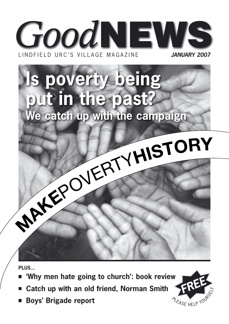

# **s poverty being** put in the past? We catch up with the campaign MAKEPOVERTYHISTORY

PLUS...

- 'Why men hate going to church': book review
- Catch up with an old friend, Norman Smith
- **Boys' Brigade report**

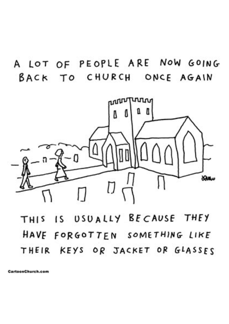A LOT OF PEOPLE ARE NOW GOING BACK TO CHURCH ONCE AGAIN



### THIS IS USUALLY BECAUSE THEY HAVE FORGOTTEN SOMETHING LIKE THEIR KEYS OR JACKET OR GLASSES

CartoonChurch.com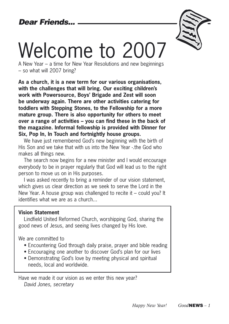

# Welcome to 2007

A New Year – a time for New Year Resolutions and new beginnings – so what will 2007 bring?

**As a church, it is a new term for our various organisations, with the challenges that will bring. Our exciting children's work with Powersource, Boys' Brigade and Zest will soon be underway again. There are other activities catering for toddlers with Stepping Stones, to the Fellowship for a more mature group. There is also opportunity for others to meet over a range of activities – you can find these in the back of the magazine. Informal fellowship is provided with Dinner for Six, Pop In, In Touch and fortnightly house groups.**

We have just remembered God's new beginning with the birth of His Son and we take that with us into the New Year - the God who makes all things new.

The search now begins for a new minister and I would encourage everybody to be in prayer regularly that God will lead us to the right person to move us on in His purposes.

I was asked recently to bring a reminder of our vision statement, which gives us clear direction as we seek to serve the Lord in the New Year. A house group was challenged to recite it – could you? It identifies what we are as a church...

### **Vision Statement**

Lindfield United Reformed Church, worshipping God, sharing the good news of Jesus, and seeing lives changed by His love.

We are committed to

- Encountering God through daily praise, prayer and bible reading
- Encouraging one another to discover God's plan for our lives
- Demonstrating God's love by meeting physical and spiritual needs, local and worldwide.

Have we made it our vision as we enter this new year? David Jones, secretary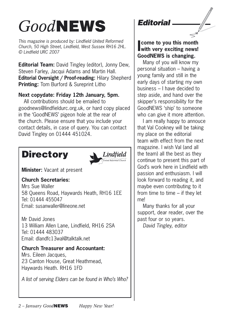### *Good*NEWS

This magazine is produced by: Lindfield United Reformed Church, 50 High Street, Lindfield, West Sussex RH16 2HL. © Lindfield URC 2007

**Editorial Team:** David Tingley (editor), Jonny Dew, Steven Farley, Jacqui Adams and Martin Hall. **Editorial Oversight / Proof-reading:** Hilary Shepherd **Printing:** Tom Burford & Sureprint Litho

### **Next copydate: Friday 12th January, 5pm.**

All contributions should be emailed to goodnews@lindfieldurc.org.uk, or hard copy placed in the 'GoodNEWS' pigeon hole at the rear of the church. Please ensure that you include your contact details, in case of query. You can contact David Tingley on 01444 451024.

### **Directory**



**Minister:** Vacant at present

### **Church Secretaries:**

Mrs Sue Waller 58 Queens Road, Haywards Heath, RH16 1EE Tel: 01444 455047 Email: susanwaller@lineone.net

Mr David Jones 13 William Allen Lane, Lindfield, RH16 2SA Tel: 01444 483037 Email: dlandfc13wal@talktalk.net

#### **Church Treasurer and Accountant:**  Mrs. Eileen Jacques, 23 Canton House, Great Heathmead,

Haywards Heath. RH16 1FD

A list of serving Elders can be found in Who's Who?

### **Editorial**

**I come to you this month with very exciting news! GoodNEWS is changing.** 

Many of you will know my personal situation – having a young family and still in the early days of starting my own business – I have decided to step aside, and hand over the skipper's responsibility for the GoodNEWS 'ship' to someone who can give it more attention.

I am really happy to annouce that Val Cookney will be taking my place on the editorial team with effect from the next magazine. I wish Val (and all the team) all the best as they continue to present this part of God's work here in Lindfield with passion and enthusiasm. I will look forward to reading it, and maybe even contributing to it from time to time  $-$  if they let me!

Many thanks for all your support, dear reader, over the past four or so years.

David Tingley, editor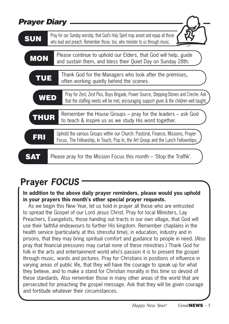| <b>Prayer Diary</b> |                                                                                                                                                                                     |
|---------------------|-------------------------------------------------------------------------------------------------------------------------------------------------------------------------------------|
| <b>SUN</b>          | Pray for our Sunday worship, that God's Holy Spirit may anoint and equip all those<br>who lead and preach. Remember those, too, who minister to us through music.                   |
| <b>MON</b>          | Please continue to uphold our Elders, that God will help, guide<br>and sustain them, and bless their Quiet Day on Sunday 28th.                                                      |
| TUE                 | Thank God for the Managers who look after the premises,<br>often working quietly behind the scenes.                                                                                 |
| WED                 | Pray for Zest, Zest Plus, Boys Brigade, Power Source, Stepping-Stones and Creche. Ask<br>that the staffing needs will be met, encouraging support given & the children well taught. |
| <b>THUR</b>         | Remember the House Groups – pray for the leaders – ask God<br>to teach & inspire us as we study His word together.                                                                  |
| FR                  | Uphold the various Groups within our Church: Pastoral, Finance, Missions, Prayer<br>Focus, The Fellowship, In Touch, Pop In, the Art Group and the Lunch Fellowships.               |
|                     | Please pray for the Mission Focus this month – 'Stop the Traffik'.                                                                                                                  |

### **Prayer FOCUS**

### **In addition to the above daily prayer reminders, please would you uphold in your prayers this month's other special prayer requests.**

As we begin this New Year, let us hold in prayer all those who are entrusted to spread the Gospel of our Lord Jesus Christ. Pray for local Ministers, Lay Preachers, Evangelists, those handing out tracts in our own village, that God will use their faithful endeavours to further His kingdom. Remember chaplains in the health service (particularly at this stressful time), in education, industry and in prisons, that they may bring spiritual comfort and guidance to people in need. (Also pray that financial pressures may curtail none of these ministries.) Thank God for folk in the arts and entertainment world who's passion it is to present the gospel through music, words and pictures. Pray for Christians in positions of influence in varying areas of public life, that they will have the courage to speak up for what they believe, and to make a stand for Christian morality in this time so devoid of these standards. Also remember those in many other areas of the world that are persecuted for preaching the gospel message. Ask that they will be given courage and fortitude whatever their circumstances.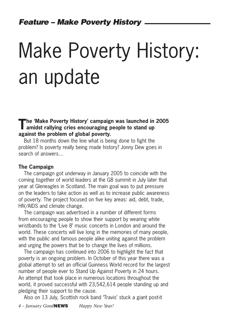# Make Poverty History: an update

**The 'Make Poverty History' campaign was launched in 2005 amidst rallying cries encouraging people to stand up against the problem of global poverty.** 

But 18 months down the line what is being done to fight the problem? Is poverty really being made history? Jonny Dew goes in search of answers…

#### **The Campaign**

The campaign got underway in January 2005 to coincide with the coming together of world leaders at the G8 summit in July later that year at Gleneagles in Scotland. The main goal was to put pressure on the leaders to take action as well as to increase public awareness of poverty. The project focused on five key areas: aid, debt, trade, HIV/AIDS and climate change.

The campaign was advertised in a number of different forms from encouraging people to show their support by wearing white wristbands to the 'Live 8' music concerts in London and around the world. These concerts will live long in the memories of many people, with the public and famous people alike uniting against the problem and urging the powers that be to change the lives of millions.

The campaign has continued into 2006 to highlight the fact that poverty is an ongoing problem. In October of this year there was a global attempt to set an official Guinness World record for the largest number of people ever to Stand Up Against Poverty in 24 hours. An attempt that took place in numerous locations throughout the world, it proved successful with 23,542,614 people standing up and pledging their support to the cause.

Also on 13 July, Scottish rock band 'Travis' stuck a giant post-it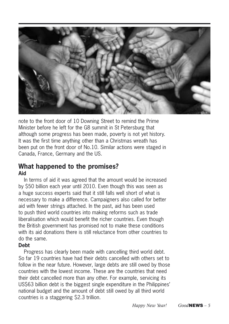

note to the front door of 10 Downing Street to remind the Prime Minister before he left for the G8 summit in St Petersburg that although some progress has been made, poverty is not yet history. It was the first time anything other than a Christmas wreath has been put on the front door of No.10. Similar actions were staged in Canada, France, Germany and the US.

### **What happened to the promises? Aid**

In terms of aid it was agreed that the amount would be increased by \$50 billion each year until 2010. Even though this was seen as a huge success experts said that it still falls well short of what is necessary to make a difference. Campaigners also called for better aid with fewer strings attached. In the past, aid has been used to push third world countries into making reforms such as trade liberalisation which would benefit the richer countries. Even though the British government has promised not to make these conditions with its aid donations there is still reluctance from other countries to do the same.

### **Debt**

Progress has clearly been made with cancelling third world debt. So far 19 countries have had their debts cancelled with others set to follow in the near future. However, large debts are still owed by those countries with the lowest income. These are the countries that need their debt cancelled more than any other. For example, servicing its US\$63 billion debt is the biggest single expenditure in the Philippines' national budget and the amount of debt still owed by all third world countries is a staggering \$2.3 trillion.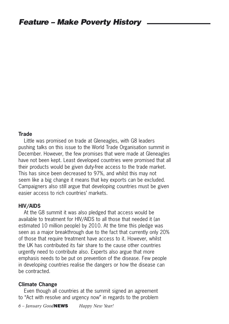#### **Trade**

Little was promised on trade at Gleneagles, with G8 leaders pushing talks on this issue to the World Trade Organisation summit in December. However, the few promises that were made at Gleneagles have not been kept. Least developed countries were promised that all their products would be given duty-free access to the trade market. This has since been decreased to 97%, and whilst this may not seem like a big change it means that key exports can be excluded. Campaigners also still argue that developing countries must be given easier access to rich countries' markets.

#### **HIV/AIDS**

At the G8 summit it was also pledged that access would be available to treatment for HIV/AIDS to all those that needed it (an estimated 10 million people) by 2010. At the time this pledge was seen as a major breakthrough due to the fact that currently only 20% of those that require treatment have access to it. However, whilst the UK has contributed its fair share to the cause other countries urgently need to contribute also. Experts also argue that more emphasis needs to be put on prevention of the disease. Few people in developing countries realise the dangers or how the disease can be contracted.

#### **Climate Change**

Even though all countries at the summit signed an agreement to "Act with resolve and urgency now" in regards to the problem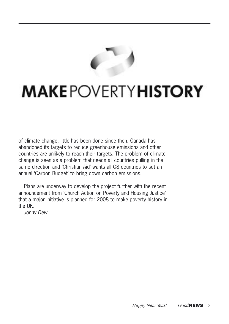

### **MAKEPOVERTYHISTORY**

of climate change, little has been done since then. Canada has abandoned its targets to reduce greenhouse emissions and other countries are unlikely to reach their targets. The problem of climate change is seen as a problem that needs all countries pulling in the same direction and 'Christian Aid' wants all G8 countries to set an annual 'Carbon Budget' to bring down carbon emissions.

Plans are underway to develop the project further with the recent announcement from 'Church Action on Poverty and Housing Justice' that a major initiative is planned for 2008 to make poverty history in the UK.

Jonny Dew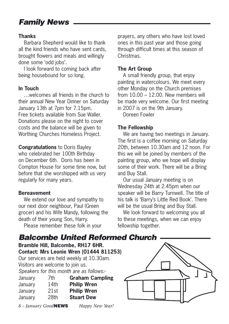### Family News

### **Thanks**

Barbara Shepherd would like to thank all the kind friends who have sent cards, brought flowers and meals and willingly done some 'odd jobs'.

I look forward to coming back after being housebound for so long.

### **In Touch**

welcomes all friends in the church to their annual New Year Dinner on Saturday January 13th at 7pm for 7.15pm. Free tickets available from Sue Waller. Donations please on the night to cover costs and the balance will be given to Worthing Churches Homeless Project.

**Congratulations** to Doris Bayley who celebrated her 100th Birthday on December 6th. Doris has been in Compton House for some time now, but before that she worshipped with us very regularly for many years.

### **Bereavement**

We extend our love and sympathy to our next door neighbour, Paul (Green grocer) and his Wife Mandy, following the death of their young Son, Harry.

Please remember these folk in your

prayers, any others who have lost loved ones in this past year and those going through difficult times at this season of **Christmas** 

### **The Art Group**

A small friendly group, that enjoy painting in watercolours. We meet every other Monday on the Church premises from  $10.00 - 12.00$  New members will be made very welcome. Our first meeting in 2007 is on the 9th January.

Doreen Fowler

### **The Fellowship**

We are having two meetings in January. The first is a coffee morning on Saturday 20th, between 10.30am and 12 noon. For this we will be joined by members of the painting group, who we hope will display some of their work. There will be a Bring and Buy Stall.

Our usual January meeting is on Wednesday 24th at 2.45pm when our speaker will be Barry Turnwell. The title of his talk is 'Barry's Little Red Book'. There will be the usual Bring and Buy Stall.

We look forward to welcoming you all to these meetings, when we can enjoy fellowship together.



**Bramble Hill, Balcombe, RH17 6HR.** 

**Contact: Mrs Leonie Wren (01444 811253)**

Our services are held weekly at 10.30am. Visitors are welcome to join us. Speakers for this month are as follows:-

| January | 7th  | <b>Graham Campling</b> |
|---------|------|------------------------|
| January | 14th | <b>Philip Wren</b>     |
| January | 21st | <b>Philip Wren</b>     |
| January | 28th | <b>Stuart Dew</b>      |
|         |      |                        |

*8 – January Good*NEWS *Happy New Year!*

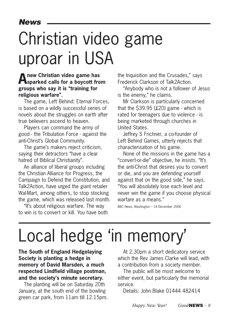### Christian video game uproar in USA

### **A new Christian video game has sparked calls for a boycott from groups who say it is "training for religious warfare".**

The game, Left Behind: Eternal Forces, is based on a wildly successful series of novels about the struggles on earth after true believers ascend to heaven.

Players can command the army of good - the Tribulation Force - against the anti-Christ's Global Community.

The game's makers reject criticism, saying their detractors "have a clear hatred of Biblical Christianity".

An alliance of liberal groups including the Christian Alliance for Progress, the Campaign to Defend the Constitution, and Talk2Action, have urged the giant retailer Wal-Mart, among others, to stop stocking the game, which was released last month.

"It's about religious warfare. The way to win is to convert or kill. You have both the Inquisition and the Crusades," says Frederick Clarkson of Talk2Action.

"Anybody who is not a follower of Jesus is the enemy," he claims.

Mr Clarkson is particularly concerned that the \$39.95 (£20) game - which is rated for teenagers due to violence - is being marketed through churches in United States.

Jeffrey S Frichner, a co-founder of Left Behind Games, utterly rejects that characterisation of his game.

None of the missions in the game has a "convert-or-die" objective, he insists. "It's the anti-Christ that desires you to convert or die, and you are defending yourself against that on the good side," he says. "You will absolutely lose each level and never win the game if you choose physical warfare as a means."

BBC News, Washington – 14 December 2006

### Local hedge 'in memory'

**The South of England Hedgelaying Society is planting a hedge in memory of David Marsden, a much respected Lindfield village postman, and the society's minute secretary.**

The planting will be on Saturday 20th January, at the south end of the bowling green car park, from 11am till 12.15pm.

At 2.30pm a short dedicatory service which the Rev James Clarke will lead, with a contribution from a society member.

The public will be most welcome to either event, but particularly the memorial service.

Details: John Blake 01444 482414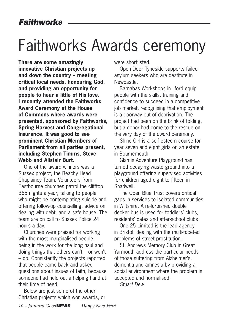### Faithworks Awards ceremony

**There are some amazingly innovative Christian projects up and down the country – meeting critical local needs, honouring God, and providing an opportunity for people to hear a little of His love. I recently attended the Faithworks Award Ceremony at the House of Commons where awards were presented, sponsored by Faithworks, Spring Harvest and Congregational Insurance. It was good to see prominent Christian Members of Parliament from all parties present, including Stephen Timms, Steve Webb and Alistair Burt.** 

One of the award winners was a Sussex project, the Beachy Head Chaplaincy Team. Volunteers from Eastbourne churches patrol the clifftop 365 nights a year, talking to people who might be contemplating suicide and offering follow-up counselling, advice on dealing with debt, and a safe house. The team are on call to Sussex Police 24 hours a day.

Churches were praised for working with the most marginalised people, being in the work for the long haul and doing things that others can't – or won't – do. Consistently the projects reported that people came back and asked questions about issues of faith, because someone had held out a helping hand at their time of need.

Below are just some of the other Christian projects which won awards, or were shortlisted.

Open Door Tyneside supports failed asylum seekers who are destitute in Newcastle.

Barnabas Workshops in Ilford equip people with the skills, training and confidence to succeed in a competitive job market, recognising that employment is a doorway out of deprivation. The project had been on the brink of folding, but a donor had come to the rescue on the very day of the award ceremony.

Shine Girl is a self esteem course for year seven and eight girls on an estate in Bournemouth.

Glamis Adventure Playground has turned decaying waste ground into a playground offering supervised activities for children aged eight to fifteen in Shadwell.

The Open Blue Trust covers critical gaps in services to isolated communities in Wiltshire. A re-furbished double decker bus is used for toddlers' clubs, residents' cafes and after-school clubs

One 25 Limited is the lead agency in Bristol, dealing with the multi-faceted problems of street prostitution.

St. Andrews Memory Club in Great Yarmouth address the particular needs of those suffering from Alzheimer's, dementia and amnesia by providing a social environment where the problem is accepted and normalised.

Stuart Dew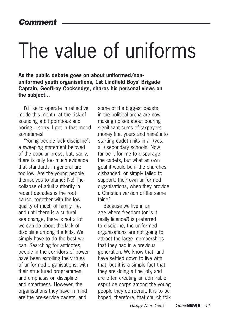# The value of uniforms

**As the public debate goes on about uniformed/nonuniformed youth organisations, 1st Lindfield Boys' Brigade Captain, Geoffrey Cocksedge, shares his personal views on the subject...**

I'd like to operate in reflective mode this month, at the risk of sounding a bit pompous and boring – sorry, I get in that mood sometimes!

"Young people lack discipline": a sweeping statement beloved of the popular press, but, sadly, there is only too much evidence that standards in general are too low. Are the young people themselves to blame? No! The collapse of adult authority in recent decades is the root cause, together with the low quality of much of family life, and until there is a cultural sea change, there is not a lot we can do about the lack of discipline among the kids. We simply have to do the best we can. Searching for antidotes, people in the corridors of power have been extolling the virtues of uniformed organisations, with their structured programmes, and emphasis on discipline and smartness. However, the organisations they have in mind are the pre-service cadets, and

some of the biggest beasts in the political arena are now making noises about pouring significant sums of taxpayers money (i.e. yours and mine) into starting cadet units in all (yes, all!) secondary schools. Now far be it for me to disparage the cadets, but what an own goal it would be if the churches disbanded, or simply failed to support, their own uniformed organisations, when they provide a Christian version of the same thing?

Because we live in an age where freedom (or is it really licence?) is preferred to discipline, the uniformed organisations are not going to attract the large memberships that they had in a previous generation. We know that, and have settled down to live with that, but it is a simple fact that they are doing a fine job, and are often creating an admirable esprit de corps among the young people they do recruit. It is to be hoped, therefore, that church folk

*Happy New Year! Good*NEWS *– 11*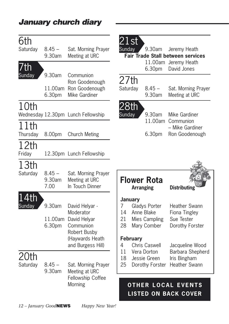| 6th<br>Saturday<br>$\overline{7}$ th | $8.45 -$<br>9.30am          | Sat. Morning Prayer<br>Meeting at URC                                                                            | $21$ st $\overline{\phantom{a}}$<br>Sunday |                                   | 9.30am<br>6.30pm                                                             | Jeremy Heath<br><b>Fair Trade Stall between services</b><br>11.00am Jeremy Heath<br>David Jones |
|--------------------------------------|-----------------------------|------------------------------------------------------------------------------------------------------------------|--------------------------------------------|-----------------------------------|------------------------------------------------------------------------------|-------------------------------------------------------------------------------------------------|
| Sunday                               | 9.30am<br>11.00am<br>6.30pm | Communion<br>Ron Goodenough<br>Ron Goodenough<br>Mike Gardiner                                                   | 27th<br>Saturday                           |                                   | $8.45 -$<br>9.30am                                                           | Sat. Morning Prayer<br>Meeting at URC                                                           |
| 10th                                 |                             | Wednesday 12.30pm Lunch Fellowship                                                                               | 28th<br>Sunday                             |                                   | 9.30am                                                                       | Mike Gardiner<br>11.00am Communion                                                              |
| 11th<br>Thursday                     | 8.00pm                      | <b>Church Meting</b>                                                                                             |                                            |                                   | 6.30pm                                                                       | – Mike Gardiner<br>Ron Goodenough                                                               |
| 12th<br>Friday                       |                             | 12.30pm Lunch Fellowship                                                                                         |                                            |                                   |                                                                              |                                                                                                 |
| 13th<br>Saturday                     | $8.45 -$<br>9.30am<br>7.00  | Sat. Morning Prayer<br>Meeting at URC<br>In Touch Dinner                                                         |                                            | <b>Arranging</b>                  | <b>Flower Rota</b>                                                           | <b>Distributing</b>                                                                             |
| .4th<br>Sunday                       | 9.30am<br>11.00am<br>6.30pm | David Helyar -<br>Moderator<br>David Helyar<br>Communion<br>Robert Busby<br>(Haywards Heath<br>and Burgess Hill) | 7<br>14<br>21<br>28<br>4                   | <b>January</b><br><b>February</b> | Gladys Porter<br>Anne Blake<br>Mies Campling<br>Mary Comber<br>Chris Caswell | Heather Swann<br>Fiona Tingley<br>Sue Tester<br>Dorothy Forster<br>Jacqueline Wood              |
| 20th<br>Saturday                     | $8.45 -$<br>9.30am          | Sat. Morning Prayer<br>Meeting at URC<br>Fellowship Coffee                                                       | 11<br>18<br>25                             |                                   | Vera Dorton<br>Jessie Green<br>Dorothy Forster                               | Barbara Shepherd<br>Iris Bingham<br>Heather Swann                                               |
|                                      |                             | Morning                                                                                                          |                                            | <b>OTHER</b>                      |                                                                              | <b>LOCAL EVENTS</b><br><b>LISTED ON BACK COVER</b>                                              |

January church diary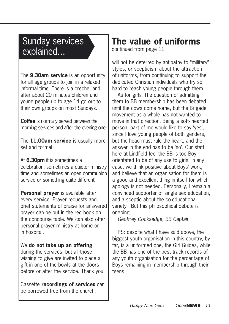### Sunday services explained...

The **9.30am service** is an opportunity for all age groups to join in a relaxed informal time. There is a crèche, and after about 20 minutes children and young people up to age 14 go out to their own groups on most Sundays.

**Coffee** is normally served between the morning services and after the evening one.

The **11.00am service** is usually more set and formal.

### At **6.30pm** it is sometimes a

celebration, sometimes a quieter ministry time and sometimes an open communion service or something quite different!

**Personal prayer** is available after every service. Prayer requests and brief statements of praise for answered prayer can be put in the red book on the concourse table. We can also offer personal prayer ministry at home or in hospital.

### We **do not take up an offering**

during the services, but all those wishing to give are invited to place a gift in one of the bowls at the doors before or after the service. Thank you.

Cassette **recordings of services** can be borrowed free from the church.

### **The value of uniforms**

continued from page 11

will not be deterred by antipathy to "military" styles, or scepticism about the attraction of uniforms, from continuing to support the dedicated Christian individuals who try so hard to reach young people through them.

As for girls! The question of admitting them to BB membership has been debated until the cows come home, but the Brigade movement as a whole has not wanted to move in that direction. Being a soft- hearted person, part of me would like to say 'yes', since I love young people of both genders, but the head must rule the heart, and the answer in the end has to be 'no'. Our staff here at Lindfield feel the BB is too Boyorientated to be of any use to girls; in any case, we think positive about Boys' work, and believe that an organisation for them is a good and excellent thing in itself for which apology is not needed. Personally, I remain a convinced supporter of single sex education, and a sceptic about the co-educational variety. But this philosophical debate is ongoing.

Geoffrey Cocksedge, BB Captain

PS: despite what I have said above, the biggest youth organisation in this country, by far, is a uniformed one, the Girl Guides, while the BB has one of the best track records of any youth organisation for the percentage of Boys remaining in membership through their teens.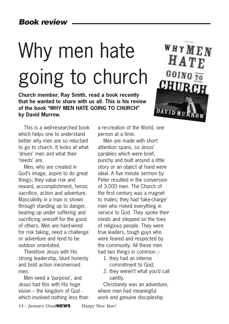# Why men hate going to church

**Church member, Ray Smith, read a book recently that he wanted to share with us all. This is his review of the book "WHY MEN HATE GOING TO CHURCH" by David Murrow.** 



This is a well-researched book which helps one to understand better why men are so reluctant to go to church. It looks at what 'drives' men and what their 'needs' are.

Men, who are created in God's image, aspire to do great things; they value risk and reward, accomplishment, heroic sacrifice, action and adventure. Masculinity in a man is shown through standing up to danger, bearing up under suffering and sacrificing oneself for the good of others. Men are hard-wired for risk taking, need a challenge or adventure and tend to be outdoor orientated.

Therefore Jesus with His strong leadership, blunt honesty and bold action mesmerised men.

Men need a 'purpose', and Jesus had this with His huge vision – the kingdom of God which involved nothing less than a re-creation of the World, one person at a time.

Men are made with short attention spans, so Jesus' parables which were brief, punchy and built around a little story or an object at hand were ideal. A five minute sermon by Peter resulted in the conversion of 3,000 men. The Church of the first century was a magnet to males; they had 'take-charge' men who risked everything in service to God. They spoke their minds and stepped on the toes of religious people. They were true leaders, tough guys who were feared and respected by the community. All these men had two things in common ;-

- 1. they had an intense commitment to God;
- 2. they weren't what you'd call saintly.

Christianity was an adventure, where men had meaningful work and genuine discipleship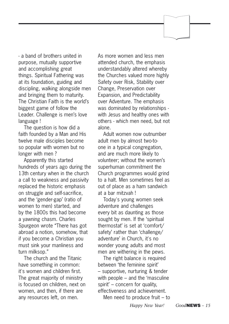- a band of brothers united in purpose, mutually supportive and accomplishing great things. Spiritual Fathering was at its foundation, guiding and discipling, walking alongside men and bringing them to maturity. The Christian Faith is the world's biggest game of follow the Leader. Challenge is men's love language !

The question is how did a faith founded by a Man and His twelve male disciples become so popular with women but no longer with men ?

Apparently this started hundreds of years ago during the 13th century when in the church a call to weakness and passivity replaced the historic emphasis on struggle and self-sacrifice, and the 'gender-gap' (ratio of women to men) started, and by the 1800s this had become a yawning chasm. Charles Spurgeon wrote "There has got abroad a notion, somehow, that if you become a Christian you must sink your manliness and turn milksop."

The church and the Titanic have something in common: it's women and children first. The great majority of ministry is focused on children, next on women, and then, if there are any resources left, on men.

As more women and less men attended church, the emphasis understandably altered whereby the Churches valued more highly Safety over Risk, Stability over Change, Preservation over Expansion, and Predictability over Adventure. The emphasis was dominated by relationships with Jesus and healthy ones with others - which men need, but not alone.

Adult women now outnumber adult men by almost two-toone in a typical congregation, and are much more likely to volunteer; without the women's superhuman commitment the Church programmes would grind to a halt. Men sometimes feel as out of place as a ham sandwich at a bar mitzvah !

Today's young women seek adventure and challenges every bit as daunting as those sought by men. If the 'spiritual thermostat' is set at 'comfort/ safety' rather than 'challenge/ adventure' in Church, it's no wonder young adults and most men are withering in the pews.

The right balance is required between 'the feminine spirit' – supportive, nurturing & tender with people – and the 'masculine spirit' – concern for quality, effectiveness and achievement.

Men need to produce fruit – to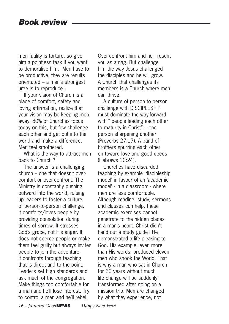men futility is torture, so give him a pointless task if you want to demoralise him. Men have to be productive, they are results orientated – a man's strongest urge is to reproduce !

If your vision of Church is a place of comfort, safety and loving affirmation, realize that your vision may be keeping men away. 80% of Churches focus today on this, but few challenge each other and get out into the world and make a difference. Men feel smothered.

What is the way to attract men back to Church ?

The answer is a challenging church – one that doesn't overcomfort or over-confront. The Ministry is constantly pushing outward into the world, raising up leaders to foster a culture of person-to-person challenge. It comforts/loves people by providing consolation during times of sorrow. It stresses God's grace, not His anger. It does not coerce people or make them feel guilty but always invites people to join the adventure. It confronts through teaching that is direct and to the point. Leaders set high standards and ask much of the congregation. Make things too comfortable for a man and he'll lose interest. Try to control a man and he'll rebel.

Over-confront him and he'll resent you as a nag. But challenge him the way Jesus challenged the disciples and he will grow. A Church that challenges its members is a Church where men can thrive.

A culture of person to person challenge with DISCIPLESHIP must dominate the way-forward with " people leading each other to maturity in Christ" – one person sharpening another (Proverbs 27:17). A band of brothers spurring each other on toward love and good deeds  $(Hehrews 10.24)$ 

Churches have discarded teaching by example 'discipleship model' in favour of an 'academic model' - in a classroom - where men are less comfortable. Although reading, study, sermons and classes can help, these academic exercises cannot penetrate to the hidden places in a man's heart. Christ didn't hand out a study guide ! He demonstrated a life pleasing to God. His example, even more than His words, produced eleven men who shook the World. That is why a man who sat in Church for 30 years without much life change will be suddenly transformed after going on a mission trip. Men are changed by what they experience, not

*16 – January Good*NEWS *Happy New Year!*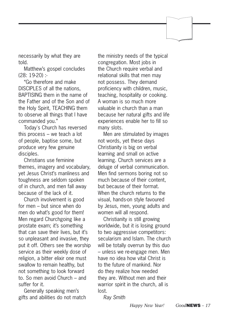necessarily by what they are told.

Matthew's gospel concludes  $(28 \cdot 19.20)$  :

"Go therefore and make DISCIPLES of all the nations BAPTISING them in the name of the Father and of the Son and of the Holy Spirit, TEACHING them to observe all things that I have commanded you."

Today's Church has reversed this process – we teach a lot of people, baptise some, but produce very few genuine disciples.

Christians use feminine themes, imagery and vocabulary, yet Jesus Christ's manliness and toughness are seldom spoken of in church, and men fall away because of the lack of it.

Church involvement is good for men – but since when do men do what's good for them! Men regard Churchgoing like a prostate exam; it's something that can save their lives, but it's so unpleasant and invasive, they put it off. Others see the worship service as their weekly dose of religion, a bitter elixir one must swallow to remain healthy, but not something to look forward to. So men avoid Church – and suffer for it.

Generally speaking men's gifts and abilities do not match the ministry needs of the typical congregation. Most jobs in the Church require verbal and relational skills that men may not possess. They demand proficiency with children, music, teaching, hospitality or cooking. A woman is so much more valuable in church than a man because her natural gifts and life experiences enable her to fill so many slots.

Men are stimulated by images not words, yet these days Christianity is big on verbal learning and small on active learning. Church services are a deluge of verbal communication. Men find sermons boring not so much because of their content, but because of their format. When the church returns to the visual, hands-on style favoured by Jesus, men, young adults and women will all respond.

Christianity is still growing worldwide, but it is losing ground to two aggressive competitors: secularism and Islam. The church will be totally overrun by this duo – unless we re-engage men. Men have no idea how vital Christ is to the future of mankind. Nor do they realize how needed they are. Without men and their warrior spirit in the church, all is lost.

Ray Smith

*Happy New Year! Good*NEWS *– 17*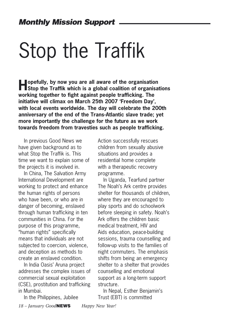# Stop the Traffik

**Hopefully, by now you are all aware of the organisation**<br> **Stop the Traffik which is a global coalition of organisations working together to fight against people trafficking. The initiative will climax on March 25th 2007 'Freedom Day', with local events worldwide. The day will celebrate the 200th anniversary of the end of the Trans-Atlantic slave trade; yet more importantly the challenge for the future as we work towards freedom from travesties such as people trafficking.**

In previous Good News we have given background as to what Stop the Traffik is. This time we want to explain some of the projects it is involved in.

In China, The Salvation Army International Development are working to protect and enhance the human rights of persons who have been, or who are in danger of becoming, enslaved through human trafficking in ten communities in China. For the purpose of this programme, "human rights" specifically means that individuals are not subjected to coercion, violence, and deception as methods to create an enslaved condition.

In India Oasis' Aruna project addresses the complex issues of commercial sexual exploitation (CSE), prostitution and trafficking in Mumbai.

In the Philippines, Jubilee

*18 – January Good*NEWS *Happy New Year!*

children from sexually abusive situations and provides a residential home complete with a therapeutic recovery programme.

Action successfully rescues

In Uganda, Tearfund partner The Noah's Ark centre provides shelter for thousands of children, where they are encouraged to play sports and do schoolwork before sleeping in safety. Noah's Ark offers the children basic medical treatment, HIV and Aids education, peace-building sessions, trauma counselling and follow-up visits to the families of night commuters. The emphasis shifts from being an emergency shelter to a shelter that provides counselling and emotional support as a long-term support structure.

In Nepal, Esther Benjamin's Trust (EBT) is committed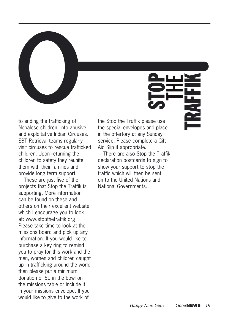

to ending the trafficking of Nepalese children, into abusive and exploitative Indian Circuses. EBT Retrieval teams regularly visit circuses to rescue trafficked children. Upon returning the children to safety they reunite them with their families and provide long term support.

These are just five of the projects that Stop the Traffik is supporting. More information can be found on these and others on their excellent website which I encourage you to look at: www.stopthetraffik.org Please take time to look at the missions board and pick up any information. If you would like to purchase a key ring to remind you to pray for this work and the men, women and children caught up in trafficking around the world then please put a minimum donation of £1 in the bowl on the missions table or include it in your missions envelope. If you would like to give to the work of

the Stop the Traffik please use the special envelopes and place in the offertory at any Sunday service. Please complete a Gift Aid Slip if appropriate.

There are also Stop the Traffik declaration postcards to sign to show your support to stop the traffic which will then be sent on to the United Nations and National Governments.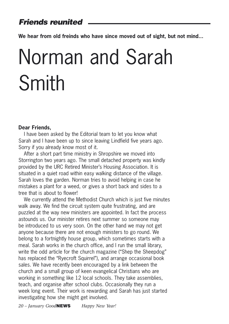### Friends reunited

**We hear from old freinds who have since moved out of sight, but not mind...**

# Norman and Sarah Smith

#### **Dear Friends,**

I have been asked by the Editorial team to let you know what Sarah and I have been up to since leaving Lindfield five years ago. Sorry if you already know most of it.

After a short part time ministry in Shropshire we moved into Storrington two years ago. The small detached property was kindly provided by the URC Retired Minister's Housing Association. It is situated in a quiet road within easy walking distance of the village. Sarah loves the garden. Norman tries to avoid helping in case he mistakes a plant for a weed, or gives a short back and sides to a tree that is about to flower!

We currently attend the Methodist Church which is just five minutes walk away. We find the circuit system quite frustrating, and are puzzled at the way new ministers are appointed. In fact the process astounds us. Our minister retires next summer so someone may be introduced to us very soon. On the other hand we may not get anyone because there are not enough ministers to go round. We belong to a fortnightly house group, which sometimes starts with a meal. Sarah works in the church office, and I run the small library, write the odd article for the church magazine ("Shep the Sheepdog" has replaced the "Ryecroft Squirrel"), and arrange occasional book sales. We have recently been encouraged by a link between the church and a small group of keen evangelical Christians who are working in something like 12 local schools. They take assemblies, teach, and organise after school clubs. Occasionally they run a week long event. Their work is rewarding and Sarah has just started investigating how she might get involved.

*20 – January Good*NEWS *Happy New Year!*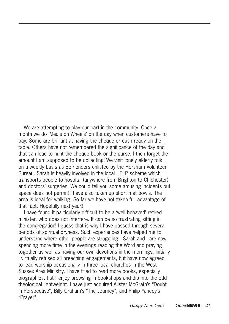We are attempting to play our part in the community. Once a month we do 'Meals on Wheels' on the day when customers have to pay. Some are brilliant at having the cheque or cash ready on the table. Others have not remembered the significance of the day and that can lead to hunt the cheque book or the purse. I then forget the amount I am supposed to be collecting! We visit lonely elderly folk on a weekly basis as Befrienders enlisted by the Horsham Volunteer Bureau. Sarah is heavily involved in the local HELP scheme which transports people to hospital (anywhere from Brighton to Chichester) and doctors' surgeries. We could tell you some amusing incidents but space does not permit! I have also taken up short mat bowls. The area is ideal for walking. So far we have not taken full advantage of that fact. Hopefully next year!!

I have found it particularly difficult to be a 'well behaved' retired minister, who does not interfere. It can be so frustrating sitting in the congregation! I guess that is why I have passed through several periods of spiritual dryness. Such experiences have helped me to understand where other people are struggling. Sarah and I are now spending more time in the evenings reading the Word and praying together as well as having our own devotions in the mornings. Initially I virtually refused all preaching engagements, but have now agreed to lead worship occasionally in three local churches in the West Sussex Area Ministry. I have tried to read more books, especially biographies. I still enjoy browsing in bookshops and dip into the odd theological lightweight. I have just acquired Alister McGrath's "Doubt in Perspective", Billy Graham's "The Journey", and Philip Yancey's "Prayer".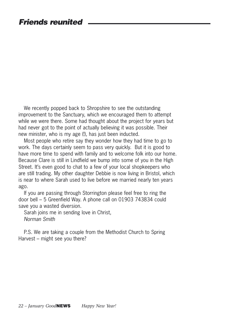We recently popped back to Shropshire to see the outstanding improvement to the Sanctuary, which we encouraged them to attempt while we were there. Some had thought about the project for years but had never got to the point of actually believing it was possible. Their new minister, who is my age (!), has just been inducted.

Most people who retire say they wonder how they had time to go to work. The days certainly seem to pass very quickly. But it is good to have more time to spend with family and to welcome folk into our home. Because Clare is still in Lindfield we bump into some of you in the High Street. It's even good to chat to a few of your local shopkeepers who are still trading. My other daughter Debbie is now living in Bristol, which is near to where Sarah used to live before we married nearly ten years ago.

If you are passing through Storrington please feel free to ring the door bell – 5 Greenfield Way. A phone call on 01903 743834 could save you a wasted diversion.

Sarah joins me in sending love in Christ, Norman Smith

P.S. We are taking a couple from the Methodist Church to Spring Harvest – might see you there?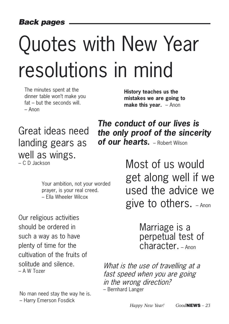# Quotes with New Year resolutions in mind

The minutes spent at the dinner table won't make you fat – but the seconds will. – Anon

**History teaches us the mistakes we are going to make this year.** - Anon

### Great ideas need landing gears as well as wings. – C D Jackson

**The conduct of our lives is the only proof of the sincerity of our hearts.** – Robert Wilson

Your ambition, not your worded prayer, is your real creed. – Ella Wheeler Wilcox

Our religious activities should be ordered in such a way as to have plenty of time for the cultivation of the fruits of solitude and silence. – A W Tozer

No man need stay the way he is. – Harry Emerson Fosdick

Most of us would get along well if we used the advice we give to others. – Anon

> Marriage is a perpetual test of character. – Anon

What is the use of travelling at a fast speed when you are going in the wrong direction? – Bernhard Langer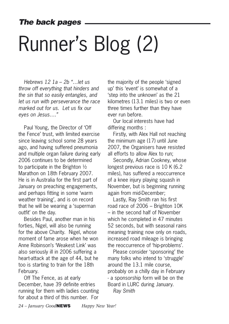# Runner's Blog (2)

Hebrews  $12$   $1a - 2b$  " let us throw off everything that hinders and the sin that so easily entangles, and let us run with perseverance the race marked out for us. Let us fix our eyes on Jesus…."

Paul Young, the Director of 'Off the Fence' trust, with limited exercise since leaving school some 28 years ago, and having suffered pneumonia and multiple organ failure during early 2006 continues to be determined to participate in the Brighton ½ Marathon on 18th February 2007. He is in Australia for the first part of January on preaching engagements, and perhaps fitting in some 'warm weather training', and is on record that he will be wearing a 'superman outfit' on the day.

Besides Paul, another man in his forties, Nigel, will also be running for the above Charity. Nigel, whose moment of fame arose when he won Anne Robinson's 'Weakest Link' was also seriously ill in 2006 suffering a heart-attack at the age of 44, but he too is starting to train for the 18th February.

Off The Fence, as at early December, have 39 definite entries running for them with ladies counting for about a third of this number. For

the majority of the people 'signed up' this 'event' is somewhat of a 'step into the unknown' as the 21 kilometres (13.1 miles) is two or even three times further than they have ever run before.

Our local interests have had differing months :

Firstly, with Alex Hall not reaching the minimum age (17) until June 2007, the Organisers have resisted all efforts to allow Alex to run;

Secondly, Adrian Cookney, whose longest previous race is 10 K (6.2 miles), has suffered a reoccurrence of a knee injury playing squash in November, but is beginning running again from mid-December;

Lastly, Ray Smith ran his first road race of 2006 – Brighton 10K – in the second half of November which he completed in 47 minutes 52 seconds, but with seasonal rains meaning training now only on roads, increased road mileage is bringing the reoccurrence of 'hip-problems'.

Please consider 'sponsoring' the many folks who intend to 'struggle' around the 13.1 mile course, probably on a chilly day in February - a sponsorship form will be on the Board in LURC during January. Ray Smith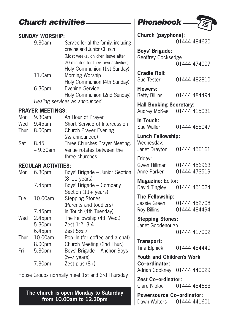### Church activities \_\_\_\_\_\_\_\_\_\_ | Phonebook.

### **SUNDAY WORSHIP:**

| 9.30am | Service for all the family, including<br>crèche and Junior Church |
|--------|-------------------------------------------------------------------|
|        | (Most weeks, children leave after                                 |
|        | 20 minutes for their own activities)                              |
|        | Holy Communion (1st Sunday)                                       |
| 11.0am | Morning Worship                                                   |
|        | Holy Communion (4th Sunday)                                       |
| 6.30pm | <b>Evening Service</b>                                            |
|        | Holy Communion (2nd Sunday)                                       |
|        | Healing services as announced                                     |

### **PRAYER MEETINGS:**

|     | Mon $9.30$ am | An Hour of Prayer              |
|-----|---------------|--------------------------------|
|     | Wed 9.45am    | Short Service of Intercession  |
|     | Thur 8.00pm   | <b>Church Prayer Evening</b>   |
|     |               | (As announced)                 |
| Sat | 845           | Three Churches Prayer Meeting. |
|     | $-9.30$ am    | Venue rotates between the      |
|     |               | three churches.                |

### **REGULAR ACTIVITIES:**

| Mon  | 6.30 <sub>pm</sub> | Boys' Brigade - Junior Section<br>$(8-11 \text{ years})$ |
|------|--------------------|----------------------------------------------------------|
|      | 7.45pm             | Boys' Brigade - Company                                  |
|      |                    | Section $(11 + \text{years})$                            |
| Tue  | 10.00am            | <b>Stepping Stones</b>                                   |
|      |                    | (Parents and toddlers)                                   |
|      | 7.45pm             | In Touch (4th Tuesday)                                   |
| Wed  | 2.45pm             | The Fellowship (4th Wed.)                                |
|      | 5.30pm             | Zest 1:2, 3:4                                            |
|      | 6.45 <sub>pm</sub> | Zest 5:6:7                                               |
| Thur | 10.00am            | Pop-In (for coffee and a chat)                           |
|      | 8.00pm             | Church Meeting (2nd Thur.)                               |
| Fri  | 5.30pm             | Boys' Brigade - Anchor Boys<br>$(5-7 \text{ years})$     |
|      | 7.30pm             | Zest plus $(8+)$                                         |

House Groups normally meet 1st and 3rd Thursday

**The church is open Monday to Saturday from 10.00am to 12.30pm**